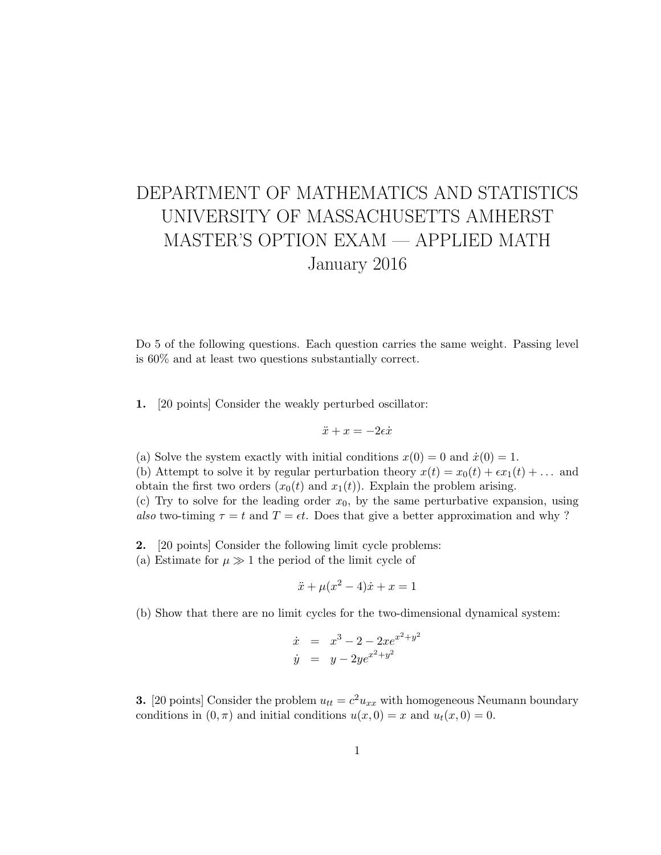## DEPARTMENT OF MATHEMATICS AND STATISTICS UNIVERSITY OF MASSACHUSETTS AMHERST MASTER'S OPTION EXAM — APPLIED MATH January 2016

Do 5 of the following questions. Each question carries the same weight. Passing level is 60% and at least two questions substantially correct.

1. [20 points] Consider the weakly perturbed oscillator:

$$
\ddot{x}+x=-2\epsilon\dot{x}
$$

(a) Solve the system exactly with initial conditions  $x(0) = 0$  and  $\dot{x}(0) = 1$ . (b) Attempt to solve it by regular perturbation theory  $x(t) = x_0(t) + \epsilon x_1(t) + \ldots$  and obtain the first two orders  $(x_0(t)$  and  $x_1(t)$ ). Explain the problem arising.

(c) Try to solve for the leading order  $x_0$ , by the same perturbative expansion, using also two-timing  $\tau = t$  and  $T = \epsilon t$ . Does that give a better approximation and why?

2. [20 points] Consider the following limit cycle problems:

(a) Estimate for  $\mu \gg 1$  the period of the limit cycle of

$$
\ddot{x} + \mu(x^2 - 4)\dot{x} + x = 1
$$

(b) Show that there are no limit cycles for the two-dimensional dynamical system:

$$
\dot{x} = x^3 - 2 - 2xe^{x^2 + y^2} \n\dot{y} = y - 2ye^{x^2 + y^2}
$$

**3.** [20 points] Consider the problem  $u_{tt} = c^2 u_{xx}$  with homogeneous Neumann boundary conditions in  $(0, \pi)$  and initial conditions  $u(x, 0) = x$  and  $u_t(x, 0) = 0$ .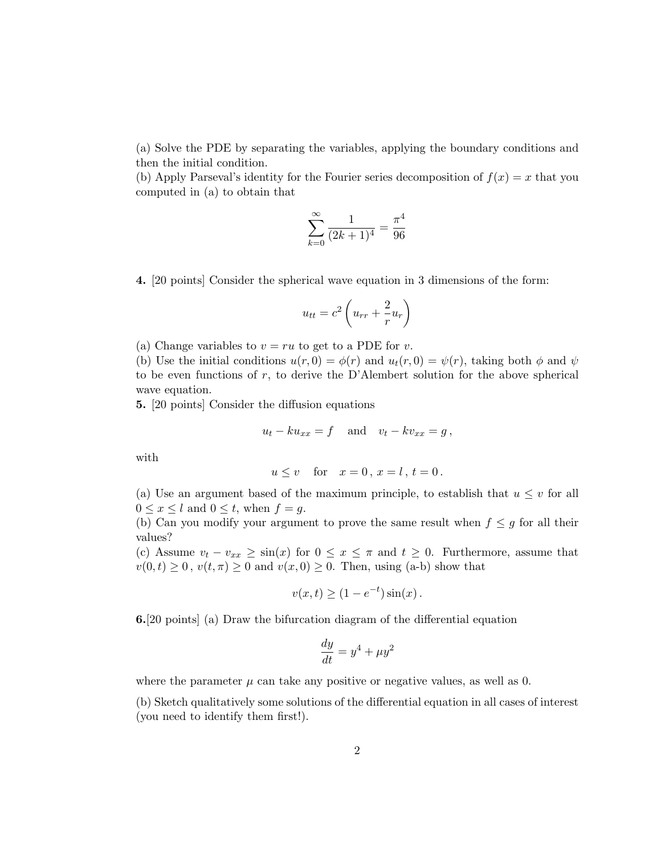(a) Solve the PDE by separating the variables, applying the boundary conditions and then the initial condition.

(b) Apply Parseval's identity for the Fourier series decomposition of  $f(x) = x$  that you computed in (a) to obtain that

$$
\sum_{k=0}^{\infty} \frac{1}{(2k+1)^4} = \frac{\pi^4}{96}
$$

4. [20 points] Consider the spherical wave equation in 3 dimensions of the form:

$$
u_{tt} = c^2 \left( u_{rr} + \frac{2}{r} u_r \right)
$$

(a) Change variables to  $v = ru$  to get to a PDE for v.

(b) Use the initial conditions  $u(r, 0) = \phi(r)$  and  $u_t(r, 0) = \psi(r)$ , taking both  $\phi$  and  $\psi$ to be even functions of  $r$ , to derive the D'Alembert solution for the above spherical wave equation.

5. [20 points] Consider the diffusion equations

$$
u_t - k u_{xx} = f \quad \text{and} \quad v_t - k v_{xx} = g \,,
$$

with

$$
u \le v \quad \text{for} \quad x = 0 \,, x = l \,, t = 0 \,.
$$

(a) Use an argument based of the maximum principle, to establish that  $u \leq v$  for all  $0 \leq x \leq l$  and  $0 \leq t$ , when  $f = q$ .

(b) Can you modify your argument to prove the same result when  $f \leq g$  for all their values?

(c) Assume  $v_t - v_{xx} \ge \sin(x)$  for  $0 \le x \le \pi$  and  $t \ge 0$ . Furthermore, assume that  $v(0, t) \geq 0$ ,  $v(t, \pi) \geq 0$  and  $v(x, 0) \geq 0$ . Then, using (a-b) show that

$$
v(x,t) \ge (1 - e^{-t})\sin(x).
$$

6.[20 points] (a) Draw the bifurcation diagram of the differential equation

$$
\frac{dy}{dt} = y^4 + \mu y^2
$$

where the parameter  $\mu$  can take any positive or negative values, as well as 0.

(b) Sketch qualitatively some solutions of the differential equation in all cases of interest (you need to identify them first!).